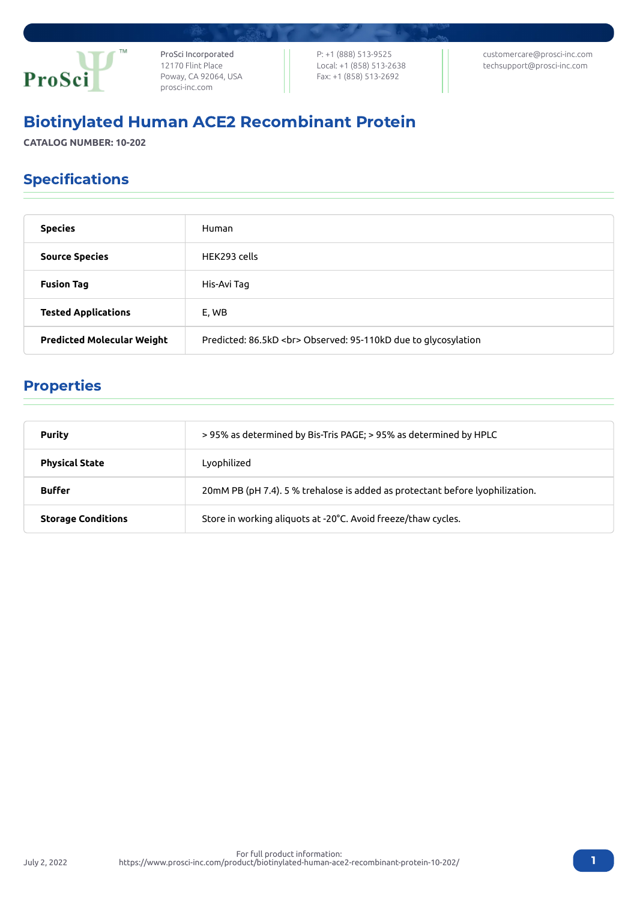

ProSci Incorporated 12170 Flint Place Poway, CA 92064, USA [prosci-inc.com](https://prosci-inc.com/)

P: +1 (888) 513-9525 Local: +1 (858) 513-2638 Fax: +1 (858) 513-2692

[customercare@prosci-inc.com](mailto:customercare@prosci-inc.com) [techsupport@prosci-inc.com](mailto:techsupport@prosci-inc.com)

# Biotinylated Human ACE2 Recombinant Protein

**CATALOG NUMBER: 10-202**

## Specifications

| <b>Species</b>                    | Human                                                        |
|-----------------------------------|--------------------------------------------------------------|
| <b>Source Species</b>             | HFK293 cells                                                 |
| <b>Fusion Tag</b>                 | His-Avi Tag                                                  |
| <b>Tested Applications</b>        | E, WB                                                        |
| <b>Predicted Molecular Weight</b> | Predicted: 86.5kD<br>Observed: 95-110kD due to glycosylation |

### Properties

| <b>Purity</b>             | >95% as determined by Bis-Tris PAGE; >95% as determined by HPLC               |
|---------------------------|-------------------------------------------------------------------------------|
| <b>Physical State</b>     | Lyophilized                                                                   |
| <b>Buffer</b>             | 20mM PB (pH 7.4). 5 % trehalose is added as protectant before lyophilization. |
| <b>Storage Conditions</b> | Store in working aliguots at -20°C. Avoid freeze/thaw cycles.                 |